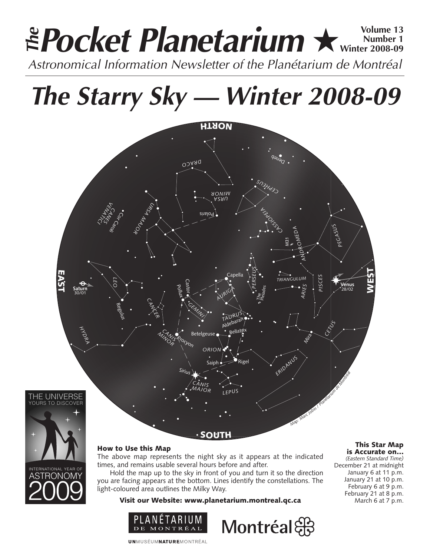# **Pocket Planetarium ★** Wolume 13 **Number 1 Winter 2008-09** Astronomical Information Newsletter of the Planétarium de Montréal **The**

**The Starry Sky — Winter 2008-09**







The above map represents the night sky as it appears at the indicated times, and remains usable several hours before and after.

Hold the map up to the sky in front of you and turn it so the direction you are facing appears at the bottom. Lines identify the constellations. The light-coloured area outlines the Milky Way.

Visit our Website: www.planetarium.montreal.qc.ca





#### This Star Map is Accurate on…

*(Eastern Standard Time)* December 21 at midnight January 6 at 11 p.m. January 21 at 10 p.m. February 6 at 9 p.m. February 21 at 8 p.m. March 6 at 7 p.m.

**UNMUSÉUMNATUREMONTRÉAL**